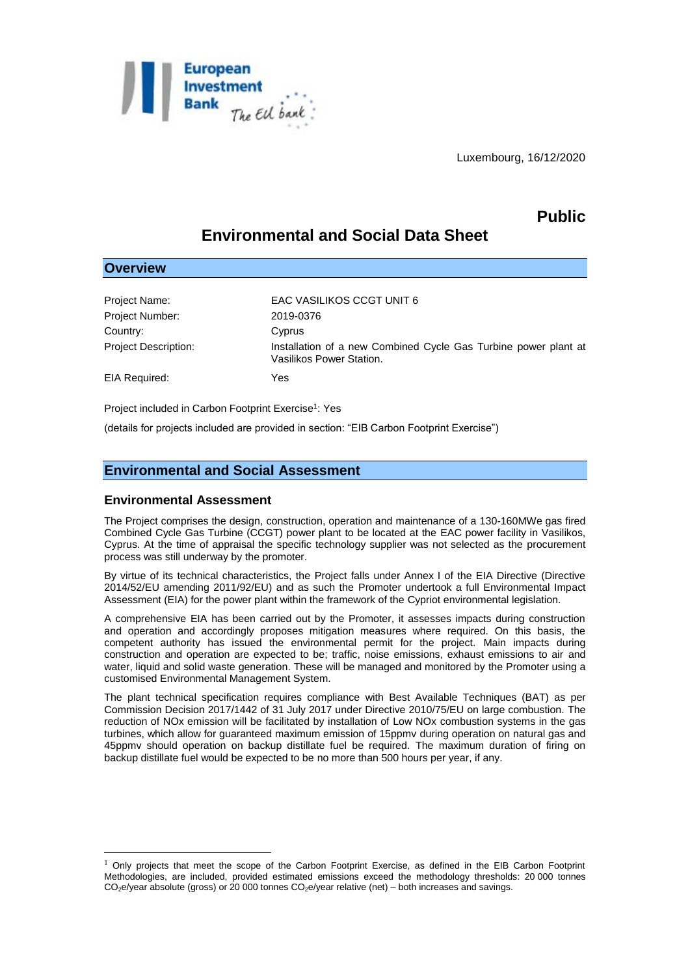

Luxembourg, 16/12/2020

# **Public**

# **Environmental and Social Data Sheet**

### **Overview**

<u>.</u>

| Project Name:               | <b>EAC VASILIKOS CCGT UNIT 6</b>                                                            |
|-----------------------------|---------------------------------------------------------------------------------------------|
| Project Number:             | 2019-0376                                                                                   |
| Country:                    | Cyprus                                                                                      |
| <b>Project Description:</b> | Installation of a new Combined Cycle Gas Turbine power plant at<br>Vasilikos Power Station. |
| EIA Required:               | Yes                                                                                         |
|                             |                                                                                             |

Project included in Carbon Footprint Exercise<sup>1</sup>: Yes

(details for projects included are provided in section: "EIB Carbon Footprint Exercise")

## **Environmental and Social Assessment**

#### **Environmental Assessment**

The Project comprises the design, construction, operation and maintenance of a 130-160MWe gas fired Combined Cycle Gas Turbine (CCGT) power plant to be located at the EAC power facility in Vasilikos, Cyprus. At the time of appraisal the specific technology supplier was not selected as the procurement process was still underway by the promoter.

By virtue of its technical characteristics, the Project falls under Annex I of the EIA Directive (Directive 2014/52/EU amending 2011/92/EU) and as such the Promoter undertook a full Environmental Impact Assessment (EIA) for the power plant within the framework of the Cypriot environmental legislation.

A comprehensive EIA has been carried out by the Promoter, it assesses impacts during construction and operation and accordingly proposes mitigation measures where required. On this basis, the competent authority has issued the environmental permit for the project. Main impacts during construction and operation are expected to be; traffic, noise emissions, exhaust emissions to air and water, liquid and solid waste generation. These will be managed and monitored by the Promoter using a customised Environmental Management System.

The plant technical specification requires compliance with Best Available Techniques (BAT) as per Commission Decision 2017/1442 of 31 July 2017 under Directive 2010/75/EU on large combustion. The reduction of NOx emission will be facilitated by installation of Low NOx combustion systems in the gas turbines, which allow for guaranteed maximum emission of 15ppmv during operation on natural gas and 45ppmv should operation on backup distillate fuel be required. The maximum duration of firing on backup distillate fuel would be expected to be no more than 500 hours per year, if any.

 $1$  Only projects that meet the scope of the Carbon Footprint Exercise, as defined in the EIB Carbon Footprint Methodologies, are included, provided estimated emissions exceed the methodology thresholds: 20 000 tonnes  $CO<sub>2</sub>e/year$  absolute (gross) or 20 000 tonnes  $CO<sub>2</sub>e/year$  relative (net) – both increases and savings.